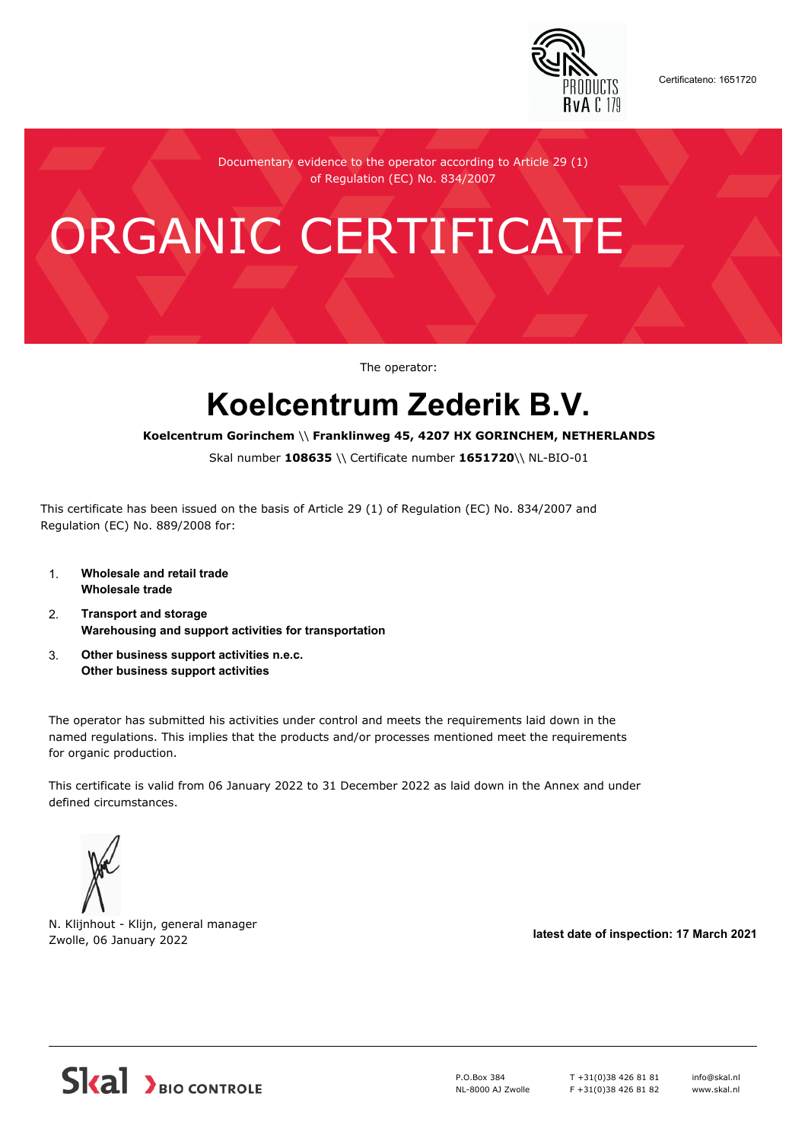

Certificateno: 1651720

Documentary evidence to the operator according to Article 29 (1) of Regulation (EC) No. 834/2007

# ORGANIC CERTIFICATE

The operator:

## **Koelcentrum Zederik B.V.**

#### **Koelcentrum Gorinchem** \\ **Franklinweg 45, 4207 HX GORINCHEM, NETHERLANDS**

Skal number **108635** \\ Certificate number **1651720**\\ NL-BIO-01

This certificate has been issued on the basis of Article 29 (1) of Regulation (EC) No. 834/2007 and Regulation (EC) No. 889/2008 for:

- 1. **Wholesale and retail trade Wholesale trade**
- 2. **Transport and storage Warehousing and support activities for transportation**
- 3. **Other business support activities n.e.c. Other business support activities**

The operator has submitted his activities under control and meets the requirements laid down in the named regulations. This implies that the products and/or processes mentioned meet the requirements for organic production.

This certificate is valid from 06 January 2022 to 31 December 2022 as laid down in the Annex and under defined circumstances.



N. Klijnhout - Klijn, general manager Zwolle, 06 January 2022 **latest date of inspection: 17 March 2021**



P.O.Box 384 NL-8000 AJ Zwolle T +31(0)38 426 81 81 F +31(0)38 426 81 82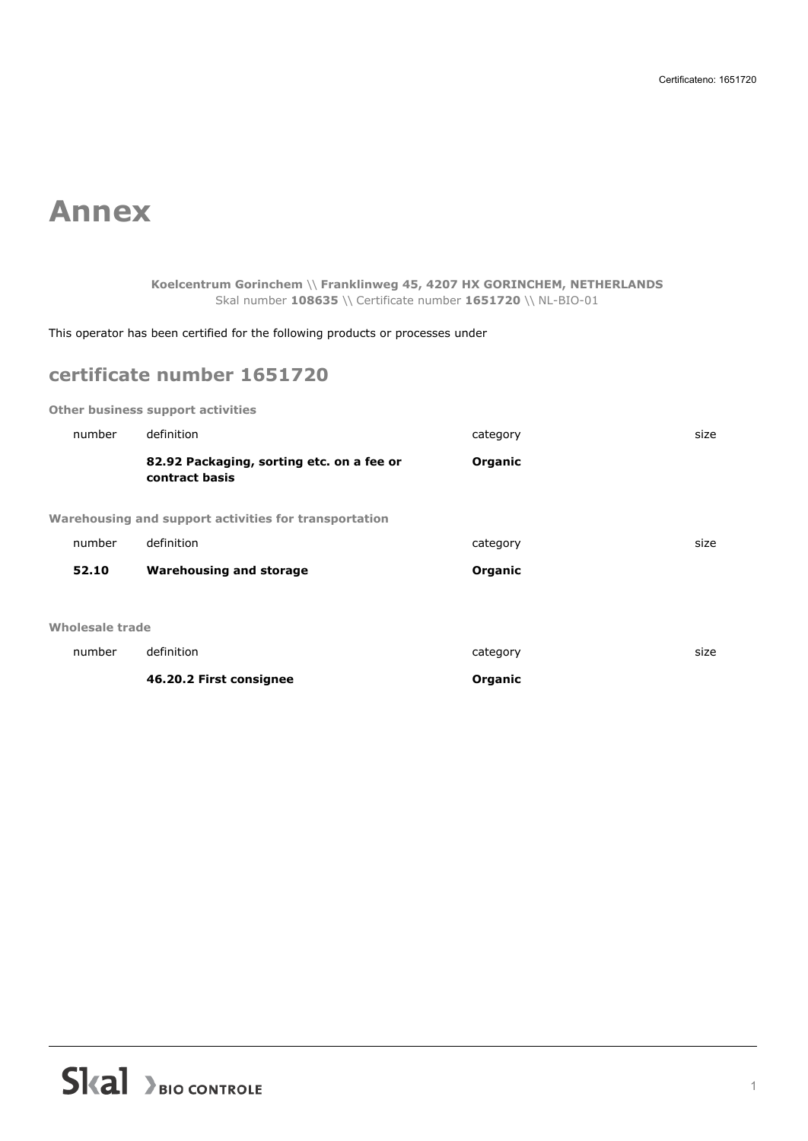### **Annex**

### **Koelcentrum Gorinchem** \\ **Franklinweg 45, 4207 HX GORINCHEM, NETHERLANDS** Skal number **108635** \\ Certificate number **1651720** \\ NL-BIO-01

This operator has been certified for the following products or processes under

### **certificate number 1651720**

**Other business support activities**

|                 | 46.20.2 First consignee                                     | Organic  |      |
|-----------------|-------------------------------------------------------------|----------|------|
| number          | definition                                                  | category | size |
| Wholesale trade |                                                             |          |      |
| 52.10           | <b>Warehousing and storage</b>                              | Organic  |      |
|                 |                                                             |          |      |
| number          | definition                                                  | category | size |
|                 | Warehousing and support activities for transportation       |          |      |
|                 | 82.92 Packaging, sorting etc. on a fee or<br>contract basis | Organic  |      |
| number          | definition                                                  | category | size |